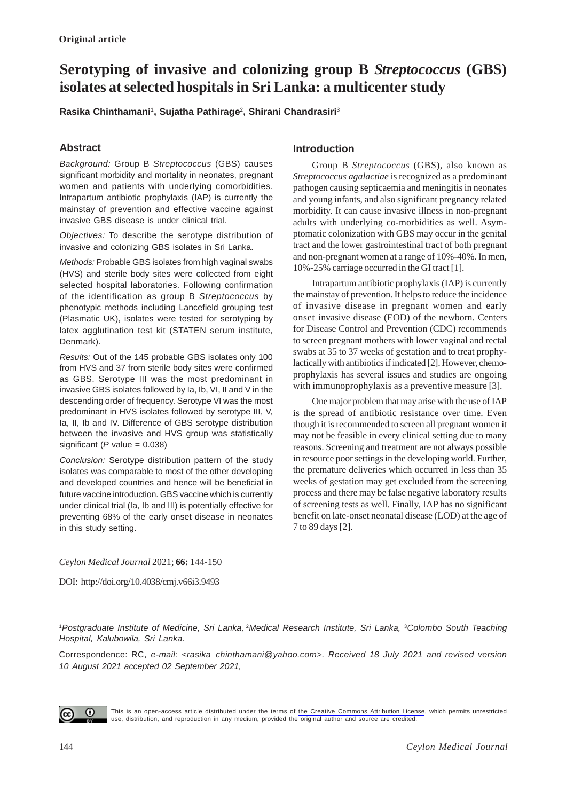# **Serotyping of invasive and colonizing group B** *Streptococcus* **(GBS) isolates at selected hospitals in Sri Lanka: a multicenter study**

**Rasika Chinthamani**<sup>1</sup> **, Sujatha Pathirage**<sup>2</sup> **, Shirani Chandrasiri**<sup>3</sup>

# **Abstract**

*Background:* Group B *Streptococcus* (GBS) causes significant morbidity and mortality in neonates, pregnant women and patients with underlying comorbidities. Intrapartum antibiotic prophylaxis (IAP) is currently the mainstay of prevention and effective vaccine against invasive GBS disease is under clinical trial.

*Objectives:* To describe the serotype distribution of invasive and colonizing GBS isolates in Sri Lanka.

*Methods:* Probable GBS isolates from high vaginal swabs (HVS) and sterile body sites were collected from eight selected hospital laboratories. Following confirmation of the identification as group B *Streptococcus* by phenotypic methods including Lancefield grouping test (Plasmatic UK), isolates were tested for serotyping by latex agglutination test kit (STATEN serum institute, Denmark).

*Results:* Out of the 145 probable GBS isolates only 100 from HVS and 37 from sterile body sites were confirmed as GBS. Serotype III was the most predominant in invasive GBS isolates followed by Ia, Ib, VI, II and V in the descending order of frequency. Serotype VI was the most predominant in HVS isolates followed by serotype III, V, Ia, II, Ib and IV. Difference of GBS serotype distribution between the invasive and HVS group was statistically significant (*P* value = 0.038)

*Conclusion:* Serotype distribution pattern of the study isolates was comparable to most of the other developing and developed countries and hence will be beneficial in future vaccine introduction. GBS vaccine which is currently under clinical trial (Ia, Ib and III) is potentially effective for preventing 68% of the early onset disease in neonates in this study setting.

# **Introduction**

Group B *Streptococcus* (GBS), also known as *Streptococcus agalactiae* is recognized as a predominant pathogen causing septicaemia and meningitis in neonates and young infants, and also significant pregnancy related morbidity. It can cause invasive illness in non-pregnant adults with underlying co-morbidities as well. Asymptomatic colonization with GBS may occur in the genital tract and the lower gastrointestinal tract of both pregnant and non-pregnant women at a range of 10%-40%. In men, 10%-25% carriage occurred in the GI tract [1].

Intrapartum antibiotic prophylaxis (IAP) is currently the mainstay of prevention. It helps to reduce the incidence of invasive disease in pregnant women and early onset invasive disease (EOD) of the newborn. Centers for Disease Control and Prevention (CDC) recommends to screen pregnant mothers with lower vaginal and rectal swabs at 35 to 37 weeks of gestation and to treat prophylactically with antibiotics if indicated [2]. However, chemoprophylaxis has several issues and studies are ongoing with immunoprophylaxis as a preventive measure [3].

One major problem that may arise with the use of IAP is the spread of antibiotic resistance over time. Even though it is recommended to screen all pregnant women it may not be feasible in every clinical setting due to many reasons. Screening and treatment are not always possible in resource poor settings in the developing world. Further, the premature deliveries which occurred in less than 35 weeks of gestation may get excluded from the screening process and there may be false negative laboratory results of screening tests as well. Finally, IAP has no significant benefit on late-onset neonatal disease (LOD) at the age of 7 to 89 days [2].

# *Ceylon Medical Journal* 2021; **66:** 144-150

DOI: http://doi.org/10.4038/cmj.v66i3.9493

<sup>1</sup>*Postgraduate Institute of Medicine, Sri Lanka,*<sup>2</sup>*Medical Research Institute, Sri Lanka,* <sup>3</sup>*Colombo South Teaching Hospital, Kalubowila, Sri Lanka.*

Correspondence: RC, *e-mail: <rasika\_chinthamani@yahoo.com>. Received 18 July 2021 and revised version 10 August 2021 accepted 02 September 2021,*



This is an open-access article distributed under the terms of [the Creative Commons Attribution License](https://creativecommons.org/licenses/by/4.0/legalcode), which permits unrestricted use, distribution, and reproduction in any medium, provided the original author and source are credited.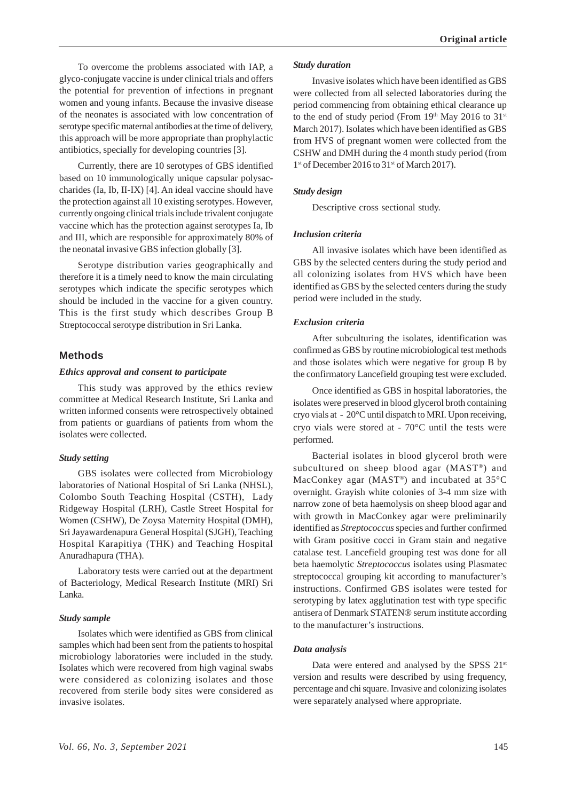To overcome the problems associated with IAP, a glyco-conjugate vaccine is under clinical trials and offers the potential for prevention of infections in pregnant women and young infants. Because the invasive disease of the neonates is associated with low concentration of serotype specific maternal antibodies at the time of delivery, this approach will be more appropriate than prophylactic antibiotics, specially for developing countries [3].

Currently, there are 10 serotypes of GBS identified based on 10 immunologically unique capsular polysaccharides (Ia, Ib, II-IX) [4]. An ideal vaccine should have the protection against all 10 existing serotypes. However, currently ongoing clinical trials include trivalent conjugate vaccine which has the protection against serotypes Ia, Ib and III, which are responsible for approximately 80% of the neonatal invasive GBS infection globally [3].

Serotype distribution varies geographically and therefore it is a timely need to know the main circulating serotypes which indicate the specific serotypes which should be included in the vaccine for a given country. This is the first study which describes Group B Streptococcal serotype distribution in Sri Lanka.

# **Methods**

### *Ethics approval and consent to participate*

This study was approved by the ethics review committee at Medical Research Institute, Sri Lanka and written informed consents were retrospectively obtained from patients or guardians of patients from whom the isolates were collected.

# *Study setting*

GBS isolates were collected from Microbiology laboratories of National Hospital of Sri Lanka (NHSL), Colombo South Teaching Hospital (CSTH), Lady Ridgeway Hospital (LRH), Castle Street Hospital for Women (CSHW), De Zoysa Maternity Hospital (DMH), Sri Jayawardenapura General Hospital (SJGH), Teaching Hospital Karapitiya (THK) and Teaching Hospital Anuradhapura (THA).

Laboratory tests were carried out at the department of Bacteriology, Medical Research Institute (MRI) Sri Lanka.

### *Study sample*

Isolates which were identified as GBS from clinical samples which had been sent from the patients to hospital microbiology laboratories were included in the study. Isolates which were recovered from high vaginal swabs were considered as colonizing isolates and those recovered from sterile body sites were considered as invasive isolates.

#### *Study duration*

Invasive isolates which have been identified as GBS were collected from all selected laboratories during the period commencing from obtaining ethical clearance up to the end of study period (From  $19<sup>th</sup>$  May 2016 to  $31<sup>st</sup>$ March 2017). Isolates which have been identified as GBS from HVS of pregnant women were collected from the CSHW and DMH during the 4 month study period (from 1<sup>st</sup> of December 2016 to 31<sup>st</sup> of March 2017).

#### *Study design*

Descriptive cross sectional study.

### *Inclusion criteria*

All invasive isolates which have been identified as GBS by the selected centers during the study period and all colonizing isolates from HVS which have been identified as GBS by the selected centers during the study period were included in the study.

#### *Exclusion criteria*

After subculturing the isolates, identification was confirmed as GBS by routine microbiological test methods and those isolates which were negative for group B by the confirmatory Lancefield grouping test were excluded.

Once identified as GBS in hospital laboratories, the isolates were preserved in blood glycerol broth containing cryo vials at - 20°C until dispatch to MRI. Upon receiving, cryo vials were stored at - 70°C until the tests were performed.

Bacterial isolates in blood glycerol broth were subcultured on sheep blood agar (MAST®) and MacConkey agar (MAST®) and incubated at 35°C overnight. Grayish white colonies of 3-4 mm size with narrow zone of beta haemolysis on sheep blood agar and with growth in MacConkey agar were preliminarily identified as *Streptococcus* species and further confirmed with Gram positive cocci in Gram stain and negative catalase test. Lancefield grouping test was done for all beta haemolytic *Streptococcus* isolates using Plasmatec streptococcal grouping kit according to manufacturer's instructions. Confirmed GBS isolates were tested for serotyping by latex agglutination test with type specific antisera of Denmark STATEN® serum institute according to the manufacturer's instructions.

#### *Data analysis*

Data were entered and analysed by the SPSS 21<sup>st</sup> version and results were described by using frequency, percentage and chi square. Invasive and colonizing isolates were separately analysed where appropriate.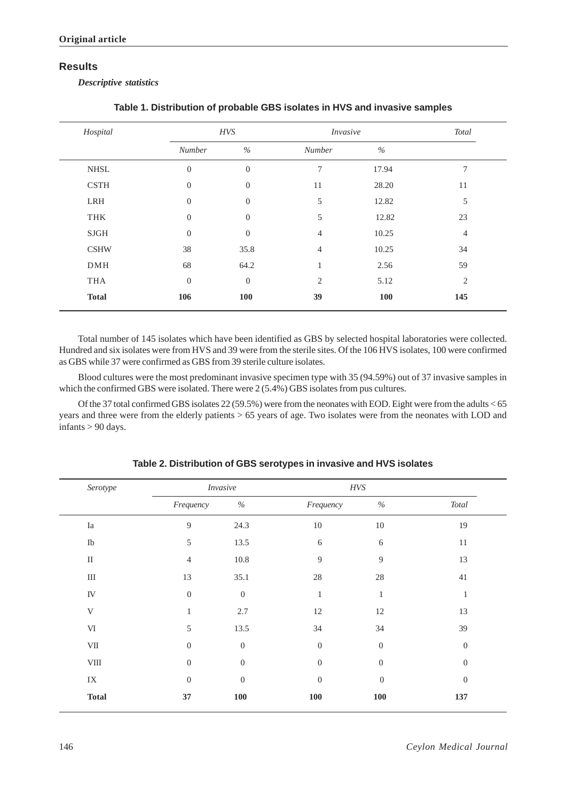# **Results**

*Descriptive statistics*

| Hospital     |                | <b>HVS</b>       |                | <i>Invasive</i> |     |  |  |
|--------------|----------------|------------------|----------------|-----------------|-----|--|--|
|              | Number         | $\%$             | Number         | $\%$            |     |  |  |
| <b>NHSL</b>  | $\overline{0}$ | $\boldsymbol{0}$ | 7              | 17.94           | 7   |  |  |
| <b>CSTH</b>  | $\mathbf{0}$   | $\boldsymbol{0}$ | 11             | 28.20           | 11  |  |  |
| LRH          | $\theta$       | $\overline{0}$   | 5              | 12.82           | 5   |  |  |
| THK          | $\Omega$       | $\Omega$         | 5              | 12.82           | 23  |  |  |
| $\rm SJGH$   | $\theta$       | $\theta$         | $\overline{4}$ | 10.25           | 4   |  |  |
| <b>CSHW</b>  | 38             | 35.8             | 4              | 10.25           | 34  |  |  |
| $DMH$        | 68             | 64.2             |                | 2.56            | 59  |  |  |
| <b>THA</b>   | $\theta$       | $\overline{0}$   | $\overline{2}$ | 5.12            | 2   |  |  |
| <b>Total</b> | 106            | <b>100</b>       | 39             | <b>100</b>      | 145 |  |  |

| Table 1. Distribution of probable GBS isolates in HVS and invasive samples |  |  |  |
|----------------------------------------------------------------------------|--|--|--|
|----------------------------------------------------------------------------|--|--|--|

Total number of 145 isolates which have been identified as GBS by selected hospital laboratories were collected. Hundred and six isolates were from HVS and 39 were from the sterile sites. Of the 106 HVS isolates, 100 were confirmed as GBS while 37 were confirmed as GBS from 39 sterile culture isolates.

Blood cultures were the most predominant invasive specimen type with 35 (94.59%) out of 37 invasive samples in which the confirmed GBS were isolated. There were 2 (5.4%) GBS isolates from pus cultures.

Of the 37 total confirmed GBS isolates 22 (59.5%) were from the neonates with EOD. Eight were from the adults < 65 years and three were from the elderly patients > 65 years of age. Two isolates were from the neonates with LOD and infants > 90 days.

| Serotype     |                  | <b>Invasive</b>  | $HVS$            |                  |                  |
|--------------|------------------|------------------|------------------|------------------|------------------|
|              | Frequency        | $\%$             | Frequency        | $\%$             | Total            |
| Ia           | 9                | 24.3             | $10\,$           | $10\,$           | 19               |
| ${\rm Ib}$   | 5                | 13.5             | $\boldsymbol{6}$ | $\sqrt{6}$       | $11\,$           |
| $\rm II$     | $\overline{4}$   | 10.8             | 9                | $\overline{9}$   | 13               |
| $\rm III$    | 13               | 35.1             | $28\,$           | $28\,$           | 41               |
| ${\rm IV}$   | $\boldsymbol{0}$ | $\theta$         | $\mathbf{1}$     | $\mathbf{1}$     | $\mathbf{1}$     |
| V            | $\mathbf{1}$     | 2.7              | $12\,$           | $12\,$           | 13               |
| $\mbox{VI}$  | 5                | 13.5             | 34               | 34               | 39               |
| $\rm{VII}$   | $\theta$         | $\overline{0}$   | $\boldsymbol{0}$ | $\boldsymbol{0}$ | $\boldsymbol{0}$ |
| ${\it VIII}$ | $\boldsymbol{0}$ | $\boldsymbol{0}$ | $\boldsymbol{0}$ | $\boldsymbol{0}$ | $\mathbf{0}$     |
| $\rm IX$     | $\theta$         | $\boldsymbol{0}$ | $\boldsymbol{0}$ | $\boldsymbol{0}$ | $\boldsymbol{0}$ |
| <b>Total</b> | 37               | ${\bf 100}$      | ${\bf 100}$      | <b>100</b>       | 137              |

**Table 2. Distribution of GBS serotypes in invasive and HVS isolates**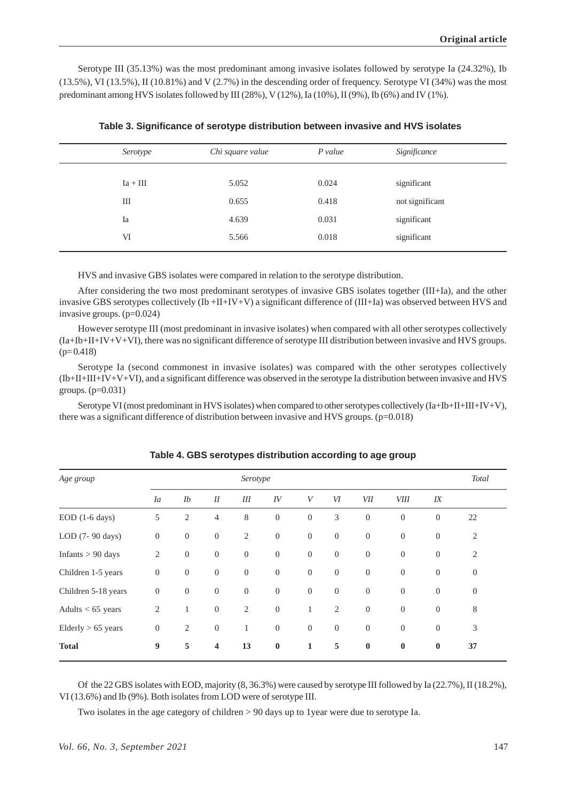Serotype III (35.13%) was the most predominant among invasive isolates followed by serotype Ia (24.32%), Ib  $(13.5\%)$ , VI  $(13.5\%)$ , II  $(10.81\%)$  and V  $(2.7\%)$  in the descending order of frequency. Serotype VI  $(34\%)$  was the most predominant among HVS isolates followed by III (28%), V (12%), Ia (10%), II (9%), Ib (6%) and IV (1%).

| Serotype   | Chi square value | $P$ value | Significance    |
|------------|------------------|-----------|-----------------|
|            |                  |           |                 |
| $Ia + III$ | 5.052            | 0.024     | significant     |
| Ш          | 0.655            | 0.418     | not significant |
| Ia         | 4.639            | 0.031     | significant     |
| VI         | 5.566            | 0.018     | significant     |
|            |                  |           |                 |

**Table 3. Significance of serotype distribution between invasive and HVS isolates**

HVS and invasive GBS isolates were compared in relation to the serotype distribution.

After considering the two most predominant serotypes of invasive GBS isolates together (III+Ia), and the other invasive GBS serotypes collectively (Ib +II+IV+V) a significant difference of (III+Ia) was observed between HVS and invasive groups. (p=0.024)

However serotype III (most predominant in invasive isolates) when compared with all other serotypes collectively (Ia+Ib+II+IV+V+VI), there was no significant difference of serotype III distribution between invasive and HVS groups.  $(p= 0.418)$ 

Serotype Ia (second commonest in invasive isolates) was compared with the other serotypes collectively (Ib+II+III+IV+V+VI), and a significant difference was observed in the serotype Ia distribution between invasive and HVS groups. (p=0.031)

Serotype VI (most predominant in HVS isolates) when compared to other serotypes collectively  $(Ia+Ib+II+III+IV+V)$ , there was a significant difference of distribution between invasive and HVS groups. (p=0.018)

| Age group                    |                  |                  |                         | Serotype       |                  |                  |                  |                |                |                | <b>Total</b>   |
|------------------------------|------------------|------------------|-------------------------|----------------|------------------|------------------|------------------|----------------|----------------|----------------|----------------|
|                              | Ia               | Ib               | I                       | III            | IV               | V                | VI               | <b>VII</b>     | <b>VIII</b>    | IX             |                |
| $EOD$ (1-6 days)             | 5                | 2                | $\overline{4}$          | $8\,$          | $\boldsymbol{0}$ | $\boldsymbol{0}$ | 3                | $\overline{0}$ | $\overline{0}$ | $\overline{0}$ | 22             |
| LOD (7- 90 days)             | $\boldsymbol{0}$ | $\mathbf{0}$     | $\boldsymbol{0}$        | $\mathbf{2}$   | $\boldsymbol{0}$ | $\boldsymbol{0}$ | $\mathbf{0}$     | $\theta$       | $\overline{0}$ | $\mathbf{0}$   | 2              |
| Infants $> 90$ days          | $\overline{2}$   | $\mathbf{0}$     | $\mathbf{0}$            | $\mathbf{0}$   | $\mathbf{0}$     | $\mathbf{0}$     | $\mathbf{0}$     | $\theta$       | $\theta$       | $\theta$       | 2              |
| Children 1-5 years           | $\boldsymbol{0}$ | $\mathbf{0}$     | $\boldsymbol{0}$        | $\overline{0}$ | $\mathbf{0}$     | $\mathbf{0}$     | $\mathbf{0}$     | $\theta$       | $\mathbf{0}$   | $\mathbf{0}$   | $\overline{0}$ |
| Children 5-18 years          | $\mathbf{0}$     | $\boldsymbol{0}$ | $\boldsymbol{0}$        | $\theta$       | $\boldsymbol{0}$ | $\boldsymbol{0}$ | $\boldsymbol{0}$ | $\theta$       | $\theta$       | $\theta$       | $\mathbf{0}$   |
| Adults $<$ 65 years          | $\mathfrak{2}$   | $\mathbf{1}$     | $\boldsymbol{0}$        | $\mathfrak{2}$ | $\theta$         | 1                | $\overline{2}$   | $\overline{0}$ | $\mathbf{0}$   | $\mathbf{0}$   | 8              |
| $Elderly > 65 \text{ years}$ | $\mathbf{0}$     | $\mathbf{2}$     | $\boldsymbol{0}$        | $\mathbf{1}$   | $\overline{0}$   | $\overline{0}$   | $\overline{0}$   | $\theta$       | $\theta$       | $\overline{0}$ | 3              |
| <b>Total</b>                 | $\boldsymbol{9}$ | 5                | $\overline{\mathbf{4}}$ | 13             | $\bf{0}$         | $\mathbf{1}$     | 5                | $\bf{0}$       | $\bf{0}$       | $\bf{0}$       | 37             |

**Table 4. GBS serotypes distribution according to age group**

Of the 22 GBS isolates with EOD, majority (8, 36.3%) were caused by serotype III followed by Ia (22.7%), II (18.2%), VI (13.6%) and Ib (9%). Both isolates from LOD were of serotype III.

Two isolates in the age category of children > 90 days up to 1year were due to serotype Ia.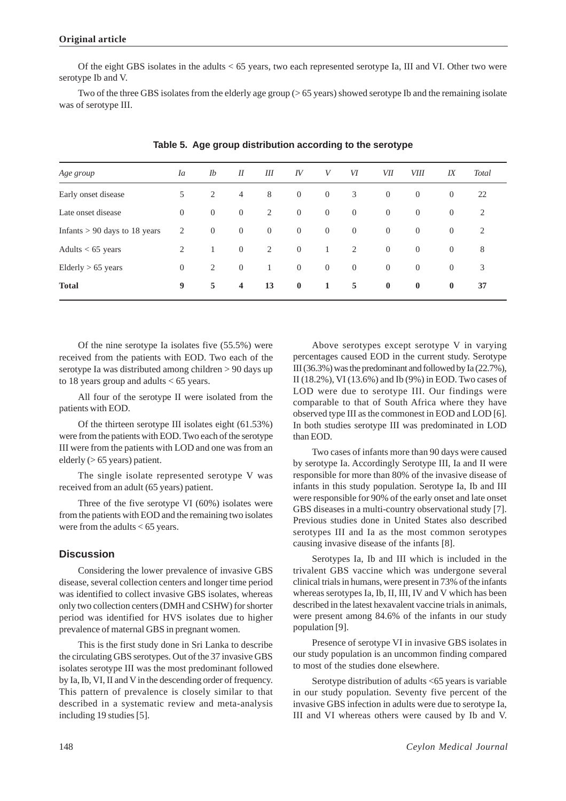Of the eight GBS isolates in the adults < 65 years, two each represented serotype Ia, III and VI. Other two were serotype Ib and V.

Two of the three GBS isolates from the elderly age group (> 65 years) showed serotype Ib and the remaining isolate was of serotype III.

| Age group                       | Ia             | Ib             | I                       | Ш              | IV             | V              | VI             | VІІ            | <i>VIII</i>    | IX             | Total |
|---------------------------------|----------------|----------------|-------------------------|----------------|----------------|----------------|----------------|----------------|----------------|----------------|-------|
| Early onset disease             | 5              | 2              | $\overline{4}$          | 8              | $\overline{0}$ | $\overline{0}$ | 3              | $\overline{0}$ | $\overline{0}$ | $\overline{0}$ | 22    |
| Late onset disease              | $\overline{0}$ | $\overline{0}$ | $\overline{0}$          | 2              | $\overline{0}$ | $\overline{0}$ | $\overline{0}$ | $\overline{0}$ | $\overline{0}$ | $\overline{0}$ | 2     |
| Infants $> 90$ days to 18 years | 2              | $\overline{0}$ | $\overline{0}$          | $\overline{0}$ | $\overline{0}$ | $\overline{0}$ | $\overline{0}$ | $\overline{0}$ | $\overline{0}$ | $\overline{0}$ | 2     |
| Adults $< 65$ years             | 2              | -1             | $\overline{0}$          | 2              | $\overline{0}$ | $\overline{1}$ | 2              | $\overline{0}$ | $\overline{0}$ | $\overline{0}$ | 8     |
| $Elderly > 65 \text{ years}$    | $\overline{0}$ | 2              | $\overline{0}$          | 1              | $\overline{0}$ | $\overline{0}$ | $\overline{0}$ | $\overline{0}$ | $\overline{0}$ | $\overline{0}$ | 3     |
| <b>Total</b>                    | 9              | 5              | $\overline{\mathbf{4}}$ | 13             | $\bf{0}$       | $\mathbf{1}$   | 5              | $\bf{0}$       | $\bf{0}$       | $\bf{0}$       | 37    |

**Table 5. Age group distribution according to the serotype**

Of the nine serotype Ia isolates five (55.5%) were received from the patients with EOD. Two each of the serotype Ia was distributed among children > 90 days up to 18 years group and adults  $< 65$  years.

All four of the serotype II were isolated from the patients with EOD.

Of the thirteen serotype III isolates eight (61.53%) were from the patients with EOD. Two each of the serotype III were from the patients with LOD and one was from an elderly (> 65 years) patient.

The single isolate represented serotype V was received from an adult (65 years) patient.

Three of the five serotype VI (60%) isolates were from the patients with EOD and the remaining two isolates were from the adults < 65 years.

# **Discussion**

Considering the lower prevalence of invasive GBS disease, several collection centers and longer time period was identified to collect invasive GBS isolates, whereas only two collection centers (DMH and CSHW) for shorter period was identified for HVS isolates due to higher prevalence of maternal GBS in pregnant women.

This is the first study done in Sri Lanka to describe the circulating GBS serotypes. Out of the 37 invasive GBS isolates serotype III was the most predominant followed by Ia, Ib, VI, II and V in the descending order of frequency. This pattern of prevalence is closely similar to that described in a systematic review and meta-analysis including 19 studies [5].

Above serotypes except serotype V in varying percentages caused EOD in the current study. Serotype III (36.3%) was the predominant and followed by Ia (22.7%), II (18.2%), VI (13.6%) and Ib (9%) in EOD. Two cases of LOD were due to serotype III. Our findings were comparable to that of South Africa where they have observed type III as the commonest in EOD and LOD [6]. In both studies serotype III was predominated in LOD than EOD.

Two cases of infants more than 90 days were caused by serotype Ia. Accordingly Serotype III, Ia and II were responsible for more than 80% of the invasive disease of infants in this study population. Serotype Ia, Ib and III were responsible for 90% of the early onset and late onset GBS diseases in a multi-country observational study [7]. Previous studies done in United States also described serotypes III and Ia as the most common serotypes causing invasive disease of the infants [8].

Serotypes Ia, Ib and III which is included in the trivalent GBS vaccine which was undergone several clinical trials in humans, were present in 73% of the infants whereas serotypes Ia, Ib, II, III, IV and V which has been described in the latest hexavalent vaccine trials in animals, were present among 84.6% of the infants in our study population [9].

Presence of serotype VI in invasive GBS isolates in our study population is an uncommon finding compared to most of the studies done elsewhere.

Serotype distribution of adults <65 years is variable in our study population. Seventy five percent of the invasive GBS infection in adults were due to serotype Ia, III and VI whereas others were caused by Ib and V.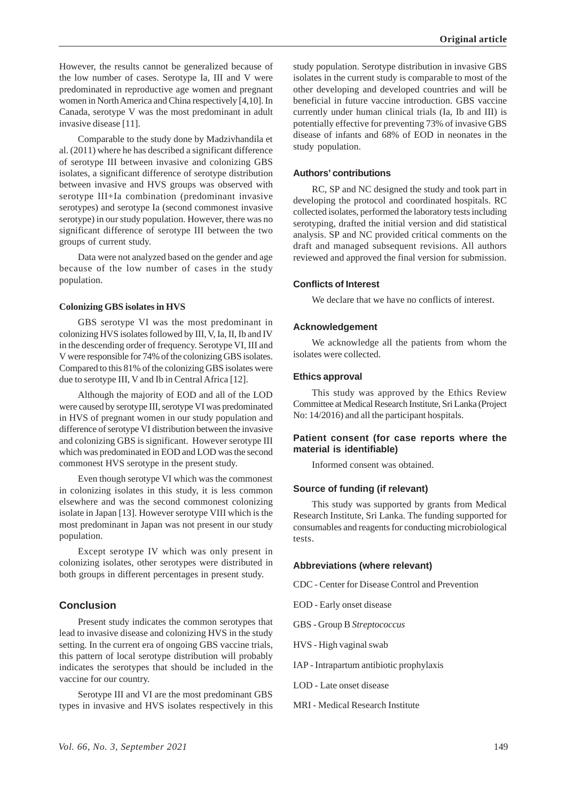However, the results cannot be generalized because of the low number of cases. Serotype Ia, III and V were predominated in reproductive age women and pregnant women in North America and China respectively [4,10]. In Canada, serotype V was the most predominant in adult invasive disease [11].

Comparable to the study done by Madzivhandila et al. (2011) where he has described a significant difference of serotype III between invasive and colonizing GBS isolates, a significant difference of serotype distribution between invasive and HVS groups was observed with serotype III+Ia combination (predominant invasive serotypes) and serotype Ia (second commonest invasive serotype) in our study population. However, there was no significant difference of serotype III between the two groups of current study.

Data were not analyzed based on the gender and age because of the low number of cases in the study population.

### **Colonizing GBS isolates in HVS**

GBS serotype VI was the most predominant in colonizing HVS isolates followed by III, V, Ia, II, Ib and IV in the descending order of frequency. Serotype VI, III and V were responsible for 74% of the colonizing GBS isolates. Compared to this 81% of the colonizing GBS isolates were due to serotype III, V and Ib in Central Africa [12].

Although the majority of EOD and all of the LOD were caused by serotype III, serotype VI was predominated in HVS of pregnant women in our study population and difference of serotype VI distribution between the invasive and colonizing GBS is significant. However serotype III which was predominated in EOD and LOD was the second commonest HVS serotype in the present study.

Even though serotype VI which was the commonest in colonizing isolates in this study, it is less common elsewhere and was the second commonest colonizing isolate in Japan [13]. However serotype VIII which is the most predominant in Japan was not present in our study population.

Except serotype IV which was only present in colonizing isolates, other serotypes were distributed in both groups in different percentages in present study.

# **Conclusion**

Present study indicates the common serotypes that lead to invasive disease and colonizing HVS in the study setting. In the current era of ongoing GBS vaccine trials, this pattern of local serotype distribution will probably indicates the serotypes that should be included in the vaccine for our country.

Serotype III and VI are the most predominant GBS types in invasive and HVS isolates respectively in this

study population. Serotype distribution in invasive GBS isolates in the current study is comparable to most of the other developing and developed countries and will be beneficial in future vaccine introduction. GBS vaccine currently under human clinical trials (Ia, Ib and III) is potentially effective for preventing 73% of invasive GBS disease of infants and 68% of EOD in neonates in the study population.

# **Authors' contributions**

RC, SP and NC designed the study and took part in developing the protocol and coordinated hospitals. RC collected isolates, performed the laboratory tests including serotyping, drafted the initial version and did statistical analysis. SP and NC provided critical comments on the draft and managed subsequent revisions. All authors reviewed and approved the final version for submission.

# **Conflicts of Interest**

We declare that we have no conflicts of interest.

# **Acknowledgement**

We acknowledge all the patients from whom the isolates were collected.

### **Ethics approval**

This study was approved by the Ethics Review Committee at Medical Research Institute, Sri Lanka (Project No: 14/2016) and all the participant hospitals.

# **Patient consent (for case reports where the material is identifiable)**

Informed consent was obtained.

### **Source of funding (if relevant)**

This study was supported by grants from Medical Research Institute, Sri Lanka. The funding supported for consumables and reagents for conducting microbiological tests.

### **Abbreviations (where relevant)**

CDC - Center for Disease Control and Prevention

EOD - Early onset disease

- GBS Group B *Streptococcus*
- HVS High vaginal swab
- IAP Intrapartum antibiotic prophylaxis
- LOD Late onset disease
- MRI Medical Research Institute